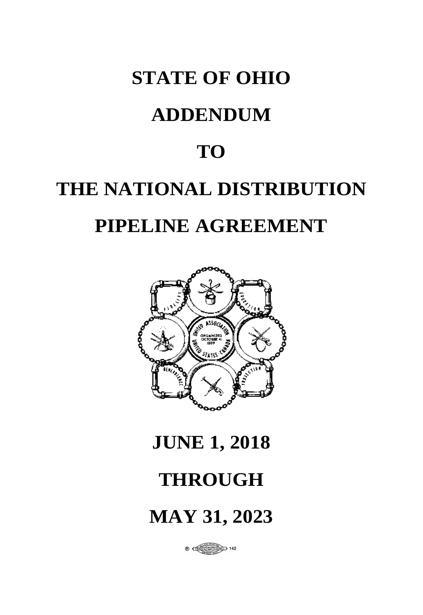# **STATE OF OHIO**

# **ADDENDUM**

# **TO**

# **THE NATIONAL DISTRIBUTION PIPELINE AGREEMENT**



# **JUNE 1, 2018**

# **THROUGH**

# **MAY 31, 2023**

 $\frac{1}{2}$  0  $\frac{1}{2}$  0  $\frac{1}{2}$   $\frac{1}{2}$   $\frac{1}{2}$   $\frac{1}{2}$   $\frac{1}{2}$   $\frac{1}{2}$   $\frac{1}{2}$   $\frac{1}{2}$   $\frac{1}{2}$   $\frac{1}{2}$   $\frac{1}{2}$   $\frac{1}{2}$   $\frac{1}{2}$   $\frac{1}{2}$   $\frac{1}{2}$   $\frac{1}{2}$   $\frac{1}{2}$   $\frac{1}{2}$   $\frac{1}{2}$   $\frac{1}{2$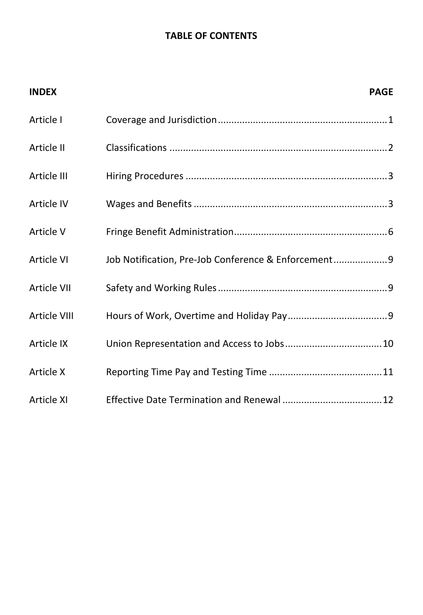## **TABLE OF CONTENTS**

| <b>INDEX</b> |                                                      | <b>PAGE</b> |
|--------------|------------------------------------------------------|-------------|
| Article I    |                                                      |             |
| Article II   |                                                      |             |
| Article III  |                                                      |             |
| Article IV   |                                                      |             |
| Article V    |                                                      |             |
| Article VI   | Job Notification, Pre-Job Conference & Enforcement 9 |             |
| Article VII  |                                                      |             |
| Article VIII |                                                      |             |
| Article IX   |                                                      |             |
| Article X    |                                                      |             |
| Article XI   |                                                      |             |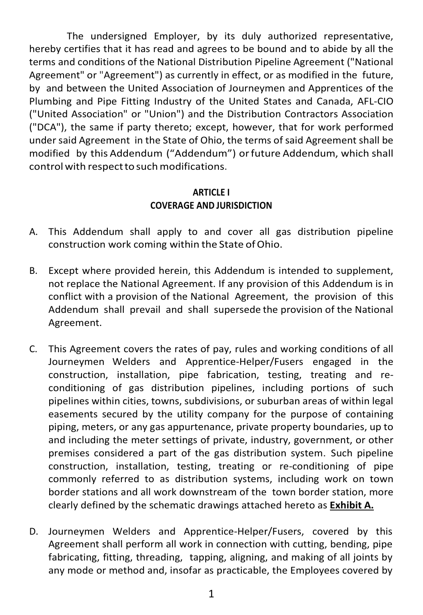The undersigned Employer, by its duly authorized representative, hereby certifies that it has read and agrees to be bound and to abide by all the terms and conditions of the National Distribution Pipeline Agreement ("National Agreement" or "Agreement") as currently in effect, or as modified in the future, by and between the United Association of Journeymen and Apprentices of the Plumbing and Pipe Fitting Industry of the United States and Canada, AFL-CIO ("United Association" or "Union") and the Distribution Contractors Association ("DCA"), the same if party thereto; except, however, that for work performed under said Agreement in the State of Ohio, the terms of said Agreement shall be modified by this Addendum ("Addendum") orfuture Addendum, which shall control with respect to such modifications.

#### **ARTICLE I COVERAGE AND JURISDICTION**

- A. This Addendum shall apply to and cover all gas distribution pipeline construction work coming within the State of Ohio.
- B. Except where provided herein, this Addendum is intended to supplement, not replace the National Agreement. If any provision of this Addendum is in conflict with a provision of the National Agreement, the provision of this Addendum shall prevail and shall supersede the provision of the National Agreement.
- C. This Agreement covers the rates of pay, rules and working conditions of all Journeymen Welders and Apprentice-Helper/Fusers engaged in the construction, installation, pipe fabrication, testing, treating and reconditioning of gas distribution pipelines, including portions of such pipelines within cities, towns, subdivisions, or suburban areas of within legal easements secured by the utility company for the purpose of containing piping, meters, or any gas appurtenance, private property boundaries, up to and including the meter settings of private, industry, government, or other premises considered a part of the gas distribution system. Such pipeline construction, installation, testing, treating or re-conditioning of pipe commonly referred to as distribution systems, including work on town border stations and all work downstream of the town border station, more clearly defined by the schematic drawings attached hereto as **Exhibit A.**
- D. Journeymen Welders and Apprentice-Helper/Fusers, covered by this Agreement shall perform all work in connection with cutting, bending, pipe fabricating, fitting, threading, tapping, aligning, and making of all joints by any mode or method and, insofar as practicable, the Employees covered by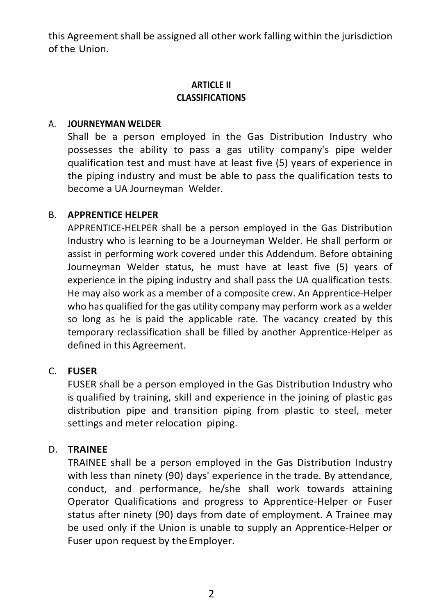this Agreement shall be assigned all other work falling within the jurisdiction of the Union.

#### **ARTICLE II CLASSIFICATIONS**

#### A. **JOURNEYMAN WELDER**

Shall be a person employed in the Gas Distribution Industry who possesses the ability to pass a gas utility company's pipe welder qualification test and must have at least five (5) years of experience in the piping industry and must be able to pass the qualification tests to become a UA Journeyman Welder.

#### B. **APPRENTICE HELPER**

APPRENTICE-HELPER shall be a person employed in the Gas Distribution Industry who is learning to be a Journeyman Welder. He shall perform or assist in performing work covered under this Addendum. Before obtaining Journeyman Welder status, he must have at least five (5) years of experience in the piping industry and shall pass the UA qualification tests. He may also work as a member of a composite crew. An Apprentice-Helper who has qualified for the gas utility company may perform work as a welder so long as he is paid the applicable rate. The vacancy created by this temporary reclassification shall be filled by another Apprentice-Helper as defined in this Agreement.

#### C. **FUSER**

FUSER shall be a person employed in the Gas Distribution Industry who is qualified by training, skill and experience in the joining of plastic gas distribution pipe and transition piping from plastic to steel, meter settings and meter relocation piping.

#### D. **TRAINEE**

TRAINEE shall be a person employed in the Gas Distribution Industry with less than ninety (90) days' experience in the trade. By attendance, conduct, and performance, he/she shall work towards attaining Operator Qualifications and progress to Apprentice-Helper or Fuser status after ninety (90) days from date of employment. A Trainee may be used only if the Union is unable to supply an Apprentice-Helper or Fuser upon request by the Employer.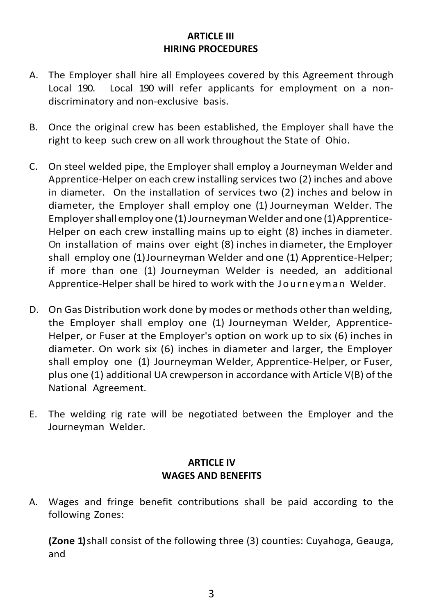#### **ARTICLE III HIRING PROCEDURES**

- A. The Employer shall hire all Employees covered by this Agreement through Local 190. Local 190 will refer applicants for employment on a nondiscriminatory and non-exclusive basis.
- B. Once the original crew has been established, the Employer shall have the right to keep such crew on all work throughout the State of Ohio.
- C. On steel welded pipe, the Employer shall employ a Journeyman Welder and Apprentice-Helper on each crew installing services two (2) inches and above in diameter. On the installation of services two (2) inches and below in diameter, the Employer shall employ one (1) Journeyman Welder. The Employershallemployone (1)JourneymanWelder andone (1)Apprentice-Helper on each crew installing mains up to eight (8) inches in diameter. On installation of mains over eight (8) inchesin diameter, the Employer shall employ one (1)Journeyman Welder and one (1) Apprentice-Helper; if more than one (1) Journeyman Welder is needed, an additional Apprentice-Helper shall be hired to work with the Journeyman Welder.
- D. On Gas Distribution work done by modes or methods other than welding, the Employer shall employ one (1) Journeyman Welder, Apprentice-Helper, or Fuser at the Employer's option on work up to six (6) inches in diameter. On work six (6) inches in diameter and larger, the Employer shall employ one (1) Journeyman Welder, Apprentice-Helper, or Fuser, plus one (1) additional UA crewperson in accordance with Article V(B) of the National Agreement.
- E. The welding rig rate will be negotiated between the Employer and the Journeyman Welder.

### **ARTICLE IV WAGES AND BENEFITS**

A. Wages and fringe benefit contributions shall be paid according to the following Zones:

**(Zone 1)** shall consist of the following three (3) counties: Cuyahoga, Geauga, and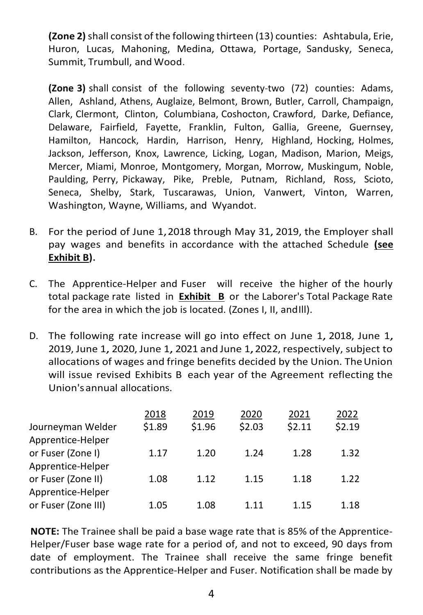**(Zone 2)** shall consist of the following thirteen (13) counties: Ashtabula, Erie, Huron, Lucas, Mahoning, Medina, Ottawa, Portage, Sandusky, Seneca, Summit, Trumbull, and Wood.

**(Zone 3)** shall consist of the following seventy-two (72) counties: Adams, Allen, Ashland, Athens, Auglaize, Belmont, Brown, Butler, Carroll, Champaign, Clark, Clermont, Clinton, Columbiana, Coshocton, Crawford, Darke, Defiance, Delaware, Fairfield, Fayette, Franklin, Fulton, Gallia, Greene, Guernsey, Hamilton, Hancock, Hardin, Harrison, Henry, Highland, Hocking, Holmes, Jackson, Jefferson, Knox, Lawrence, Licking, Logan, Madison, Marion, Meigs, Mercer, Miami, Monroe, Montgomery, Morgan, Morrow, Muskingum, Noble, Paulding, Perry, Pickaway, Pike, Preble, Putnam, Richland, Ross, Scioto, Seneca, Shelby, Stark, Tuscarawas, Union, Vanwert, Vinton, Warren, Washington, Wayne, Williams, and Wyandot.

- B. For the period of June 1, 2018 through May 31, 2019, the Employer shall pay wages and benefits in accordance with the attached Schedule **(see Exhibit B).**
- C. The Apprentice-Helper and Fuser will receive the higher of the hourly total package rate listed in **Exhibit B** or the Laborer's Total Package Rate for the area in which the job is located. (Zones I, II, andIll).
- D. The following rate increase will go into effect on June 1, 2018, June 1, 2019, June 1, 2020, June 1, 2021 and June 1, 2022, respectively, subject to allocations of wages and fringe benefits decided by the Union. The Union will issue revised Exhibits B each year of the Agreement reflecting the Union'sannual allocations.

| 2018   | 2019   | 2020   | 2021   | 2022   |
|--------|--------|--------|--------|--------|
| \$1.89 | \$1.96 | \$2.03 | \$2.11 | \$2.19 |
|        |        |        |        |        |
| 1.17   | 1.20   | 1.24   | 1.28   | 1.32   |
|        |        |        |        |        |
| 1.08   | 1.12   | 1.15   | 1.18   | 1.22   |
|        |        |        |        |        |
| 1.05   | 1.08   | 1.11   | 1.15   | 1.18   |
|        |        |        |        |        |

**NOTE:** The Trainee shall be paid a base wage rate that is 85% of the Apprentice-Helper/Fuser base wage rate for a period of, and not to exceed, 90 days from date of employment. The Trainee shall receive the same fringe benefit contributions as the Apprentice-Helper and Fuser. Notification shall be made by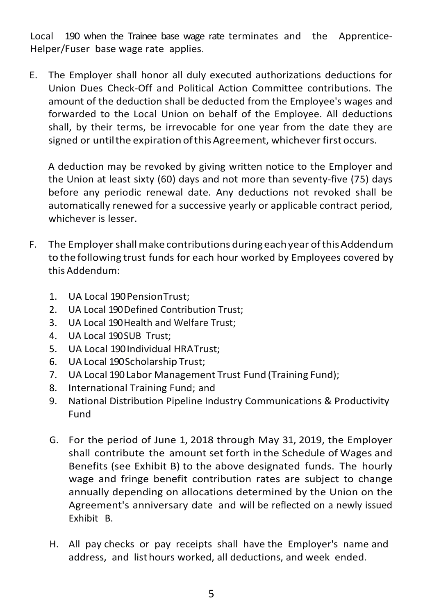Local 190 when the Trainee base wage rate terminates and the Apprentice-Helper/Fuser base wage rate applies.

E. The Employer shall honor all duly executed authorizations deductions for Union Dues Check-Off and Political Action Committee contributions. The amount of the deduction shall be deducted from the Employee's wages and forwarded to the Local Union on behalf of the Employee. All deductions shall, by their terms, be irrevocable for one year from the date they are signed or until the expiration of this Agreement, whichever first occurs.

A deduction may be revoked by giving written notice to the Employer and the Union at least sixty (60) days and not more than seventy-five (75) days before any periodic renewal date. Any deductions not revoked shall be automatically renewed for a successive yearly or applicable contract period, whichever is lesser.

- F. The Employershallmake contributions duringeachyear ofthisAddendum to the following trust funds for each hour worked by Employees covered by this Addendum:
	- 1. UA Local 190 PensionTrust;
	- 2. UA Local 190 Defined Contribution Trust;
	- 3. UA Local 190 Health and Welfare Trust;
	- 4. UA Local 190 SUB Trust;
	- 5. UA Local 190 Individual HRATrust;
	- 6. UA Local 190Scholarship Trust;
	- 7. UA Local 190Labor Management Trust Fund (Training Fund);
	- 8. International Training Fund; and
	- 9. National Distribution Pipeline Industry Communications & Productivity Fund
	- G. For the period of June 1, 2018 through May 31, 2019, the Employer shall contribute the amount set forth in the Schedule of Wages and Benefits (see Exhibit B) to the above designated funds. The hourly wage and fringe benefit contribution rates are subject to change annually depending on allocations determined by the Union on the Agreement's anniversary date and will be reflected on a newly issued Exhibit B.
	- H. All pay checks or pay receipts shall have the Employer's name and address, and list hours worked, all deductions, and week ended.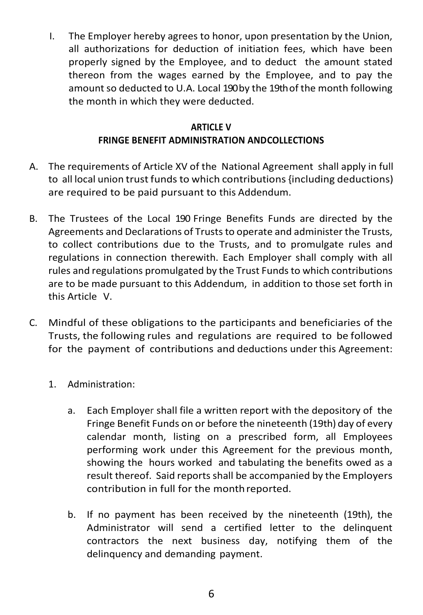I. The Employer hereby agrees to honor, upon presentation by the Union, all authorizations for deduction of initiation fees, which have been properly signed by the Employee, and to deduct the amount stated thereon from the wages earned by the Employee, and to pay the amount so deducted to U.A. Local 190by the 19th of the month following the month in which they were deducted.

#### **ARTICLE V FRINGE BENEFIT ADMINISTRATION ANDCOLLECTIONS**

- A. The requirements of Article XV of the National Agreement shall apply in full to all local union trust funds to which contributions {including deductions) are required to be paid pursuant to this Addendum.
- B. The Trustees of the Local 190 Fringe Benefits Funds are directed by the Agreements and Declarations of Trusts to operate and administer the Trusts, to collect contributions due to the Trusts, and to promulgate rules and regulations in connection therewith. Each Employer shall comply with all rules and regulations promulgated by the Trust Funds to which contributions are to be made pursuant to this Addendum, in addition to those set forth in this Article V.
- C. Mindful of these obligations to the participants and beneficiaries of the Trusts, the following rules and regulations are required to be followed for the payment of contributions and deductions under this Agreement:
	- 1. Administration:
		- a. Each Employer shall file a written report with the depository of the Fringe Benefit Funds on or before the nineteenth (19th) day of every calendar month, listing on a prescribed form, all Employees performing work under this Agreement for the previous month, showing the hours worked and tabulating the benefits owed as a result thereof. Said reports shall be accompanied by the Employers contribution in full for the monthreported.
		- b. If no payment has been received by the nineteenth (19th), the Administrator will send a certified letter to the delinquent contractors the next business day, notifying them of the delinquency and demanding payment.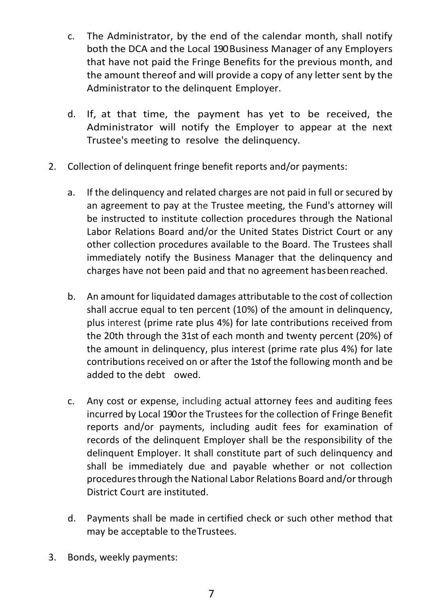- c. The Administrator, by the end of the calendar month, shall notify both the DCA and the Local 190 Business Manager of any Employers that have not paid the Fringe Benefits for the previous month, and the amount thereof and will provide a copy of any letter sent by the Administrator to the delinquent Employer.
- d. If, at that time, the payment has yet to be received, the Administrator will notify the Employer to appear at the next Trustee's meeting to resolve the delinquency.
- 2. Collection of delinquent fringe benefit reports and/or payments:
	- a. If the delinquency and related charges are not paid in full or secured by an agreement to pay at the Trustee meeting, the Fund's attorney will be instructed to institute collection procedures through the National Labor Relations Board and/or the United States District Court or any other collection procedures available to the Board. The Trustees shall immediately notify the Business Manager that the delinquency and charges have not been paid and that no agreement hasbeenreached.
	- b. An amount for liquidated damages attributable to the cost of collection shall accrue equal to ten percent (10%) of the amount in delinquency, plus interest (prime rate plus 4%) for late contributions received from the 20th through the 31st of each month and twenty percent (20%) of the amount in delinquency, plus interest (prime rate plus 4%) for late contributions received on or after the 1st of the following month and be added to the debt owed.
	- c. Any cost or expense, including actual attorney fees and auditing fees incurred by Local 190 or the Trustees for the collection of Fringe Benefit reports and/or payments, including audit fees for examination of records of the delinquent Employer shall be the responsibility of the delinquent Employer. It shall constitute part of such delinquency and shall be immediately due and payable whether or not collection procedures through the National Labor Relations Board and/or through District Court are instituted.
	- d. Payments shall be made in certified check or such other method that may be acceptable to theTrustees.
- 3. Bonds, weekly payments: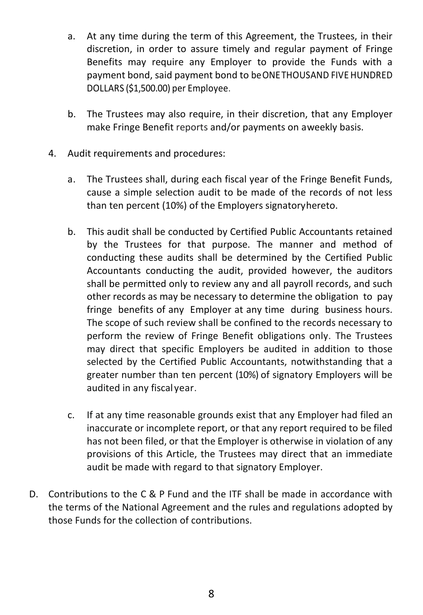- a. At any time during the term of this Agreement, the Trustees, in their discretion, in order to assure timely and regular payment of Fringe Benefits may require any Employer to provide the Funds with a payment bond, said payment bond to beONETHOUSAND FIVE HUNDRED DOLLARS (\$1,500.00) per Employee.
- b. The Trustees may also require, in their discretion, that any Employer make Fringe Benefit reports and/or payments on aweekly basis.
- 4. Audit requirements and procedures:
	- a. The Trustees shall, during each fiscal year of the Fringe Benefit Funds, cause a simple selection audit to be made of the records of not less than ten percent (10%) of the Employers signatoryhereto.
	- b. This audit shall be conducted by Certified Public Accountants retained by the Trustees for that purpose. The manner and method of conducting these audits shall be determined by the Certified Public Accountants conducting the audit, provided however, the auditors shall be permitted only to review any and all payroll records, and such other records as may be necessary to determine the obligation to pay fringe benefits of any Employer at any time during business hours. The scope of such review shall be confined to the records necessary to perform the review of Fringe Benefit obligations only. The Trustees may direct that specific Employers be audited in addition to those selected by the Certified Public Accountants, notwithstanding that a greater number than ten percent (10%) of signatory Employers will be audited in any fiscal year.
	- c. If at any time reasonable grounds exist that any Employer had filed an inaccurate or incomplete report, or that any report required to be filed has not been filed, or that the Employer is otherwise in violation of any provisions of this Article, the Trustees may direct that an immediate audit be made with regard to that signatory Employer.
- D. Contributions to the C & P Fund and the ITF shall be made in accordance with the terms of the National Agreement and the rules and regulations adopted by those Funds for the collection of contributions.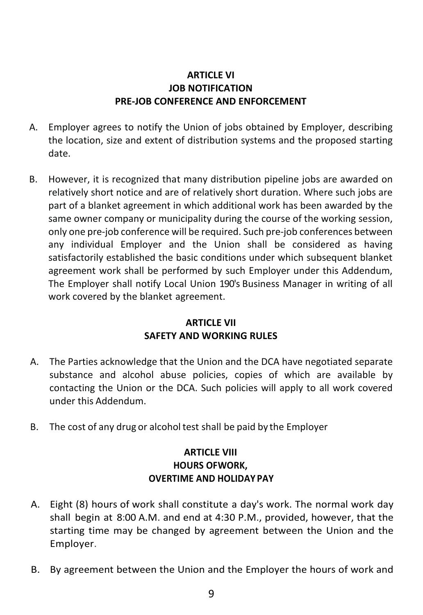## **ARTICLE VI JOB NOTIFICATION PRE-JOB CONFERENCE AND ENFORCEMENT**

- A. Employer agrees to notify the Union of jobs obtained by Employer, describing the location, size and extent of distribution systems and the proposed starting date.
- B. However, it is recognized that many distribution pipeline jobs are awarded on relatively short notice and are of relatively short duration. Where such jobs are part of a blanket agreement in which additional work has been awarded by the same owner company or municipality during the course of the working session, only one pre-job conference will be required. Such pre-job conferences between any individual Employer and the Union shall be considered as having satisfactorily established the basic conditions under which subsequent blanket agreement work shall be performed by such Employer under this Addendum, The Employer shall notify Local Union 190's Business Manager in writing of all work covered by the blanket agreement.

## **ARTICLE VII SAFETY AND WORKING RULES**

- A. The Parties acknowledge that the Union and the DCA have negotiated separate substance and alcohol abuse policies, copies of which are available by contacting the Union or the DCA. Such policies will apply to all work covered under this Addendum.
- B. The cost of any drug or alcohol test shall be paid by the Employer

## **ARTICLE VIII HOURS OFWORK, OVERTIME AND HOLIDAY PAY**

- A. Eight (8) hours of work shall constitute a day's work. The normal work day shall begin at 8:00 A.M. and end at 4:30 P.M., provided, however, that the starting time may be changed by agreement between the Union and the Employer.
- B. By agreement between the Union and the Employer the hours of work and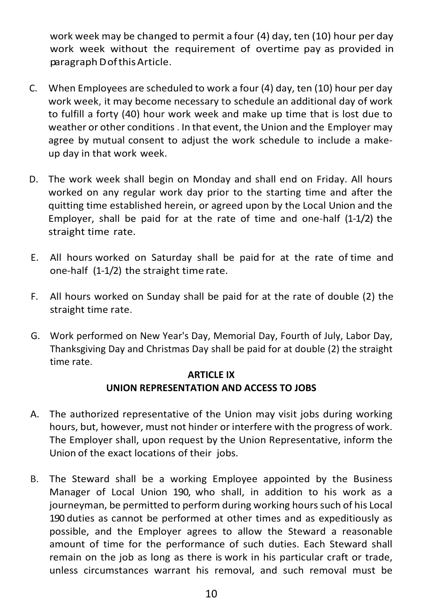work week may be changed to permit a four (4) day, ten (10) hour per day work week without the requirement of overtime pay as provided in paragraphDofthisArticle.

- C. When Employees are scheduled to work a four (4) day, ten (10) hour per day work week, it may become necessary to schedule an additional day of work to fulfill a forty (40) hour work week and make up time that is lost due to weather or other conditions . In that event, the Union and the Employer may agree by mutual consent to adjust the work schedule to include a makeup day in that work week.
- D. The work week shall begin on Monday and shall end on Friday. All hours worked on any regular work day prior to the starting time and after the quitting time established herein, or agreed upon by the Local Union and the Employer, shall be paid for at the rate of time and one-half (1-1/2) the straight time rate.
- E. All hours worked on Saturday shall be paid for at the rate of time and one-half (1-1/2) the straight time rate.
- F. All hours worked on Sunday shall be paid for at the rate of double (2) the straight time rate.
- G. Work performed on New Year's Day, Memorial Day, Fourth of July, Labor Day, Thanksgiving Day and Christmas Day shall be paid for at double (2) the straight time rate.

### **ARTICLE IX UNION REPRESENTATION AND ACCESS TO JOBS**

- A. The authorized representative of the Union may visit jobs during working hours, but, however, must not hinder or interfere with the progress of work. The Employer shall, upon request by the Union Representative, inform the Union of the exact locations of their jobs.
- B. The Steward shall be a working Employee appointed by the Business Manager of Local Union 190, who shall, in addition to his work as a journeyman, be permitted to perform during working hours such of his Local 190 duties as cannot be performed at other times and as expeditiously as possible, and the Employer agrees to allow the Steward a reasonable amount of time for the performance of such duties. Each Steward shall remain on the job as long as there is work in his particular craft or trade, unless circumstances warrant his removal, and such removal must be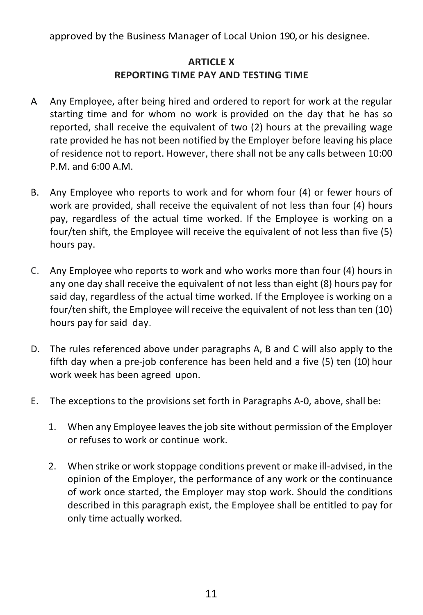approved by the Business Manager of Local Union 190, or his designee.

## **ARTICLE X REPORTING TIME PAY AND TESTING TIME**

- A. Any Employee, after being hired and ordered to report for work at the regular starting time and for whom no work is provided on the day that he has so reported, shall receive the equivalent of two (2) hours at the prevailing wage rate provided he has not been notified by the Employer before leaving his place of residence not to report. However, there shall not be any calls between 10:00 P.M. and 6:00 A.M.
- B. Any Employee who reports to work and for whom four (4) or fewer hours of work are provided, shall receive the equivalent of not less than four (4) hours pay, regardless of the actual time worked. If the Employee is working on a four/ten shift, the Employee will receive the equivalent of not less than five (5) hours pay.
- C. Any Employee who reports to work and who works more than four (4) hours in any one day shall receive the equivalent of not less than eight (8) hours pay for said day, regardless of the actual time worked. If the Employee is working on a four/ten shift, the Employee will receive the equivalent of not less than ten (10) hours pay for said day.
- D. The rules referenced above under paragraphs A, B and C will also apply to the fifth day when a pre-job conference has been held and a five (5) ten (10) hour work week has been agreed upon.
- E. The exceptions to the provisions set forth in Paragraphs A-0, above, shall be:
	- 1. When any Employee leaves the job site without permission of the Employer or refuses to work or continue work.
	- 2. When strike or work stoppage conditions prevent or make ill-advised, in the opinion of the Employer, the performance of any work or the continuance of work once started, the Employer may stop work. Should the conditions described in this paragraph exist, the Employee shall be entitled to pay for only time actually worked.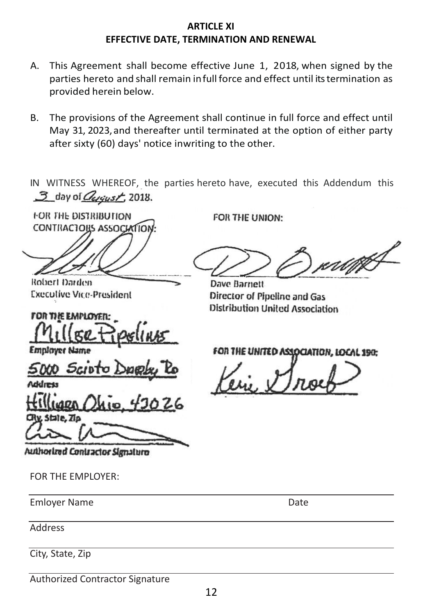#### **ARTICLE XI EFFECTIVE DATE, TERMINATION AND RENEWAL EFFECTIVE DATE, TERMINATION AND RENEWAL**

- A. This Agreement shall become effective June 1, 2018, when signed by the parties hereto and shall remain infull force and effect until its termination as provided herein below. parties hereto and shall remain infull force and effect until itstermination as provided herein below.
- B. The provisions of the Agreement shall continue in full force and effect until May 31, 2023, and thereafter until terminated at the option of either party after sixty (60) days' notice inwriting to the other. after sixty (60) days' notice inwriting to the other.

IN WITNESS WHEREOF, the parties hereto have, executed this Addendum this 3 day of *Queust*, 2018.  $\sum_{i=1}^{n}$  of  $\sum_{i=1}^{n}$   $\sum_{i=1}^{n}$   $\sum_{i=1}^{n}$ 

FOR THE UNION:

Dave Barnett

Director of Pipeline and Gas **Distribution United Association** 

FOR THE DISTRIBUTION **CONTINACTORS ASSOCIATION** 

Robert Darden **Executive Vice-President** 

**FOR THE EMPLOYER:** 

**Employer Name** 

5000 Scieto

CRy, State, Zio

FOR THE UNITED ASSOCIATION, LOCAL 190:

r i tijfS

Authorized Contractor Signature

FOR THE EMPLOYER:

Emloyer Name **Date** 

Address

City, State, Zip